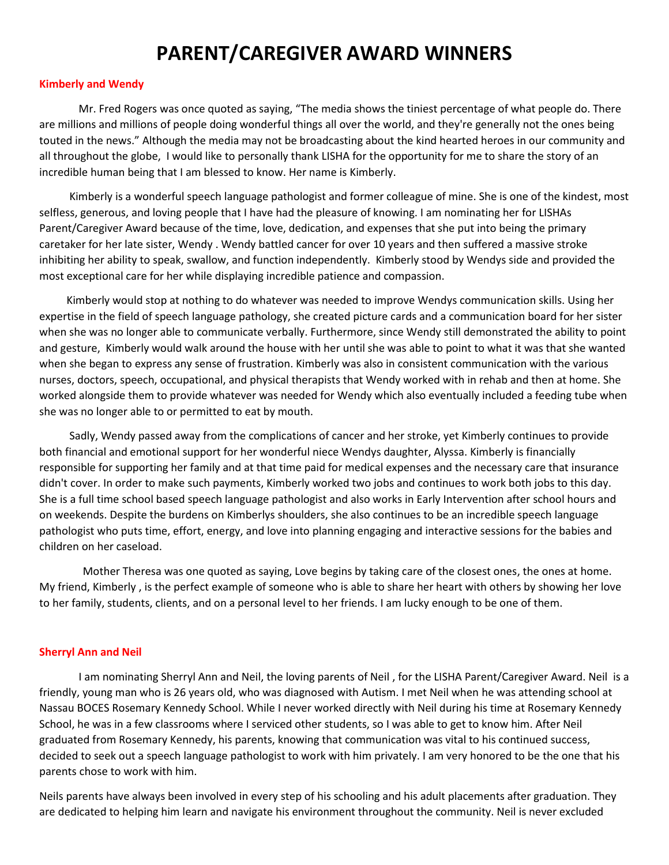## **PARENT/CAREGIVER AWARD WINNERS**

## **Kimberly and Wendy**

Mr. Fred Rogers was once quoted as saying, "The media shows the tiniest percentage of what people do. There are millions and millions of people doing wonderful things all over the world, and they're generally not the ones being touted in the news." Although the media may not be broadcasting about the kind hearted heroes in our community and all throughout the globe, I would like to personally thank LISHA for the opportunity for me to share the story of an incredible human being that I am blessed to know. Her name is Kimberly.

 Kimberly is a wonderful speech language pathologist and former colleague of mine. She is one of the kindest, most selfless, generous, and loving people that I have had the pleasure of knowing. I am nominating her for LISHAs Parent/Caregiver Award because of the time, love, dedication, and expenses that she put into being the primary caretaker for her late sister, Wendy . Wendy battled cancer for over 10 years and then suffered a massive stroke inhibiting her ability to speak, swallow, and function independently. Kimberly stood by Wendys side and provided the most exceptional care for her while displaying incredible patience and compassion.

 Kimberly would stop at nothing to do whatever was needed to improve Wendys communication skills. Using her expertise in the field of speech language pathology, she created picture cards and a communication board for her sister when she was no longer able to communicate verbally. Furthermore, since Wendy still demonstrated the ability to point and gesture, Kimberly would walk around the house with her until she was able to point to what it was that she wanted when she began to express any sense of frustration. Kimberly was also in consistent communication with the various nurses, doctors, speech, occupational, and physical therapists that Wendy worked with in rehab and then at home. She worked alongside them to provide whatever was needed for Wendy which also eventually included a feeding tube when she was no longer able to or permitted to eat by mouth.

 Sadly, Wendy passed away from the complications of cancer and her stroke, yet Kimberly continues to provide both financial and emotional support for her wonderful niece Wendys daughter, Alyssa. Kimberly is financially responsible for supporting her family and at that time paid for medical expenses and the necessary care that insurance didn't cover. In order to make such payments, Kimberly worked two jobs and continues to work both jobs to this day. She is a full time school based speech language pathologist and also works in Early Intervention after school hours and on weekends. Despite the burdens on Kimberlys shoulders, she also continues to be an incredible speech language pathologist who puts time, effort, energy, and love into planning engaging and interactive sessions for the babies and children on her caseload.

 Mother Theresa was one quoted as saying, Love begins by taking care of the closest ones, the ones at home. My friend, Kimberly , is the perfect example of someone who is able to share her heart with others by showing her love to her family, students, clients, and on a personal level to her friends. I am lucky enough to be one of them.

## **Sherryl Ann and Neil**

I am nominating Sherryl Ann and Neil, the loving parents of Neil , for the LISHA Parent/Caregiver Award. Neil is a friendly, young man who is 26 years old, who was diagnosed with Autism. I met Neil when he was attending school at Nassau BOCES Rosemary Kennedy School. While I never worked directly with Neil during his time at Rosemary Kennedy School, he was in a few classrooms where I serviced other students, so I was able to get to know him. After Neil graduated from Rosemary Kennedy, his parents, knowing that communication was vital to his continued success, decided to seek out a speech language pathologist to work with him privately. I am very honored to be the one that his parents chose to work with him.

Neils parents have always been involved in every step of his schooling and his adult placements after graduation. They are dedicated to helping him learn and navigate his environment throughout the community. Neil is never excluded